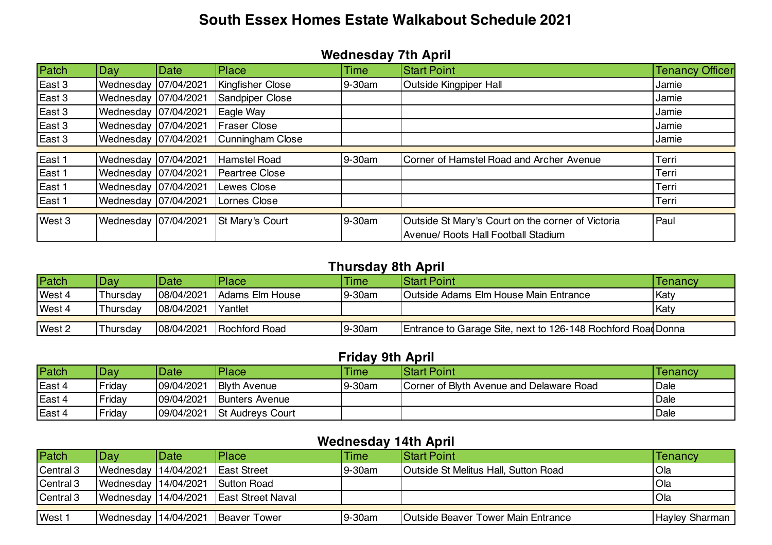# **South Essex Homes Estate Walkabout Schedule 2021**

#### **Wednesday 7th April**

| Patch  | Day                    | Date | Place                   | <b>Time</b> | <b>Start Point</b>                                | <b>Tenancy Officer</b> |
|--------|------------------------|------|-------------------------|-------------|---------------------------------------------------|------------------------|
| East 3 | Wednesday 07/04/2021   |      | Kingfisher Close        | 9-30am      | Outside Kingpiper Hall                            | Jamie                  |
| East 3 | Wednesday 07/04/2021   |      | Sandpiper Close         |             |                                                   | Jamie                  |
| East 3 | Wednesday 07/04/2021   |      | Eagle Way               |             |                                                   | Jamie                  |
| East 3 | Wednesday 07/04/2021   |      | <b>Fraser Close</b>     |             |                                                   | Jamie                  |
| East 3 | Wednesday   07/04/2021 |      | <b>Cunningham Close</b> |             |                                                   | Jamie                  |
|        |                        |      |                         |             |                                                   |                        |
| East 1 | Wednesday 07/04/2021   |      | <b>Hamstel Road</b>     | 9-30am      | Corner of Hamstel Road and Archer Avenue          | Terri                  |
| East 1 | Wednesday 07/04/2021   |      | <b>Peartree Close</b>   |             |                                                   | Terri                  |
| East 1 | Wednesday 07/04/2021   |      | <b>Lewes Close</b>      |             |                                                   | Terri                  |
| East 1 | Wednesday 07/04/2021   |      | Lornes Close            |             |                                                   | Terri                  |
|        |                        |      |                         |             |                                                   |                        |
| West 3 | Wednesday 07/04/2021   |      | St Mary's Court         | 9-30am      | Outside St Mary's Court on the corner of Victoria | Paul                   |
|        |                        |      |                         |             | <b>Avenue/ Roots Hall Football Stadium</b>        |                        |

## **Thursday 8th April**

| Patch  | Dav      | Date       | <b>Place</b>          | Time   | <b>IStart Point</b>                                          | Tenancy |
|--------|----------|------------|-----------------------|--------|--------------------------------------------------------------|---------|
| West 4 | Thursdav | 08/04/2021 | Adams Elm House       | 9-30am | <b>Outside Adams Elm House Main Entrance</b>                 | Katy    |
| West 4 | Thursdav | 08/04/2021 | Yantlet               |        |                                                              | Katy    |
|        |          |            |                       |        |                                                              |         |
| West 2 | Thursday | 08/04/2021 | <b>IRochford Road</b> | 9-30am | Entrance to Garage Site, next to 126-148 Rochford Road Donna |         |

## **Friday 9th April**

| Patch  | Day    | Date       | <b>Place</b>            | Time   | <b>Start Point</b>                       | Tenancy     |
|--------|--------|------------|-------------------------|--------|------------------------------------------|-------------|
| East 4 | Friday | 09/04/2021 | <b>Blyth Avenue</b>     | 9-30am | Corner of Blyth Avenue and Delaware Road | Dale        |
| East 4 | Friday | 09/04/2021 | <b>Bunters Avenue</b>   |        |                                          | <b>Dale</b> |
| East 4 | Friday | 09/04/2021 | <b>St Audreys Court</b> |        |                                          | <b>Dale</b> |

## **Wednesday 14th April**

| Patch     | Day.                             | Date | Place                                      | <b>Time</b> | <b>Start Point</b>                          | <b>Tenancy</b>        |
|-----------|----------------------------------|------|--------------------------------------------|-------------|---------------------------------------------|-----------------------|
| Central 3 | Wednesday 14/04/2021 East Street |      |                                            | 9-30am      | <b>Outside St Melitus Hall, Sutton Road</b> | <b>Ola</b>            |
| Central 3 |                                  |      | Wednesday 14/04/2021 Sutton Road           |             |                                             | <b>Ola</b>            |
| Central 3 |                                  |      | Wednesday   14/04/2021   East Street Naval |             |                                             | <b>Ola</b>            |
|           |                                  |      |                                            |             |                                             |                       |
| West 1    |                                  |      | Wednesday 14/04/2021 Beaver Tower          | 9-30am      | <b>Outside Beaver Tower Main Entrance</b>   | <b>Hayley Sharman</b> |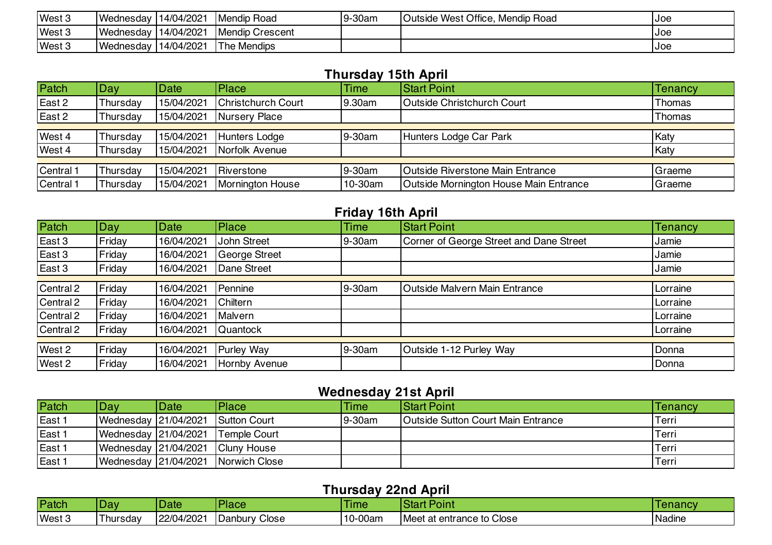| West 3 | Wednesday | 14/04/2021 | <b>Mendip Road</b>     | 9-30am | Outside West Office, Mendip Road | IJoe |
|--------|-----------|------------|------------------------|--------|----------------------------------|------|
| West 3 | Wednesday | 14/04/2021 | <b>Mendip Crescent</b> |        |                                  | IJoe |
| West 3 | Wednesday | 14/04/2021 | <b>The Mendips</b>     |        |                                  | IJoe |

#### **Thursday 15th April**

| Patch     | Day      | <b>Date</b> | <b>Place</b>       | <b>Time</b> | <b>Start Point</b>                     | <b>Tenancy</b> |  |
|-----------|----------|-------------|--------------------|-------------|----------------------------------------|----------------|--|
| East 2    | Thursday | 15/04/2021  | Christchurch Court | 9.30am      | <b>Outside Christchurch Court</b>      | Thomas         |  |
| East 2    | Thursday | 15/04/2021  | Nursery Place      |             |                                        | Thomas         |  |
|           |          |             |                    |             |                                        |                |  |
| West 4    | Thursday | 15/04/2021  | Hunters Lodge      | 9-30am      | Hunters Lodge Car Park                 | Katy           |  |
| West 4    | Thursday | 15/04/2021  | Norfolk Avenue     |             |                                        | Katy           |  |
|           |          |             |                    |             |                                        |                |  |
| Central 1 | Thursday | 15/04/2021  | Riverstone         | 9-30am      | Outside Riverstone Main Entrance       | Graeme         |  |
| Central 1 | Thursday | 15/04/2021  | Mornington House   | 10-30am     | Outside Mornington House Main Entrance | Graeme         |  |

### **Friday 16th April**

| Patch     | Day    | Date       | Place         | <b>Time</b> | <b>Start Point</b>                      | <b>Tenancy</b> |  |  |
|-----------|--------|------------|---------------|-------------|-----------------------------------------|----------------|--|--|
| East 3    | Friday | 16/04/2021 | John Street   | 9-30am      | Corner of George Street and Dane Street | Jamie          |  |  |
| East 3    | Friday | 16/04/2021 | George Street |             |                                         | Jamie          |  |  |
| East 3    | Friday | 16/04/2021 | Dane Street   |             |                                         | Jamie          |  |  |
|           |        |            |               |             |                                         |                |  |  |
| Central 2 | Friday | 16/04/2021 | Pennine       | 9-30am      | Outside Malvern Main Entrance           | Lorraine       |  |  |
| Central 2 | Friday | 16/04/2021 | Chiltern      |             |                                         | Lorraine       |  |  |
| Central 2 | Friday | 16/04/2021 | Malvern       |             |                                         | Lorraine       |  |  |
| Central 2 | Friday | 16/04/2021 | Quantock      |             |                                         | Lorraine       |  |  |
|           |        |            |               |             |                                         |                |  |  |
| West 2    | Friday | 16/04/2021 | Purley Way    | 9-30am      | Outside 1-12 Purley Way                 | Donna          |  |  |
| West 2    | Friday | 16/04/2021 | Hornby Avenue |             |                                         | Donna          |  |  |

#### **Wednesday 21st April**

| Patch  | Day                  | <b>Date</b> | Place                              | Time   | <b>Start Point</b>                        | Tenancv |
|--------|----------------------|-------------|------------------------------------|--------|-------------------------------------------|---------|
| East 1 | Wednesday 21/04/2021 |             | Sutton Court                       | 9-30am | <b>Outside Sutton Court Main Entrance</b> | Terri   |
| East 1 | Wednesday 21/04/2021 |             | Temple Court                       |        |                                           | Terri   |
| East 1 | Wednesday 21/04/2021 |             | Cluny House                        |        |                                           | Terri   |
| East 1 |                      |             | Wednesday 21/04/2021 Norwich Close |        |                                           | Terri   |

#### **Thursday 22nd April**

|        | .<br>--------------- |            |               |         |                                                |               |  |  |  |
|--------|----------------------|------------|---------------|---------|------------------------------------------------|---------------|--|--|--|
| Patch  | <b>Dav</b>           | Date       | Place         | Time    | <b>IStart</b><br>$\blacksquare$ Doine<br>YOINL | renancy       |  |  |  |
| West 3 | I hursdav            | 22/04/2021 | Danbury Close | 10-00am | Meet at entrance to Close                      | . .<br>Nadine |  |  |  |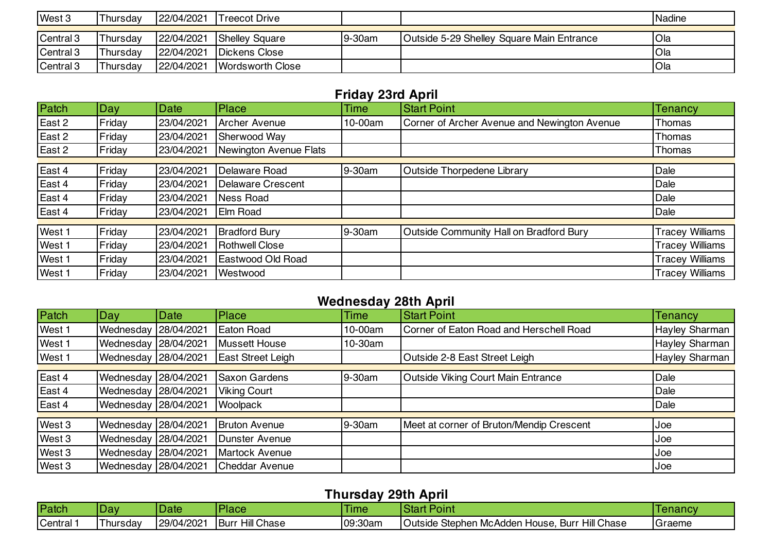| West 3    | Thursdav | 22/04/2021 | <b>Treecot Drive</b>  |        |                                           | <b>Nadine</b> |
|-----------|----------|------------|-----------------------|--------|-------------------------------------------|---------------|
|           |          |            |                       |        |                                           |               |
| Central 3 | Thursdav | 22/04/2021 | <b>Shelley Square</b> | 9-30am | Outside 5-29 Shelley Square Main Entrance | <b>Ola</b>    |
| Central 3 | Thursdav | 22/04/2021 | Dickens Close         |        |                                           | Ola           |
| Central 3 | Thursdav | 22/04/2021 | Wordsworth Close      |        |                                           | Ola           |

# **Friday 23rd April**

| Patch  | Day    | Date       | Place                    | <b>Time</b> | <b>Start Point</b>                           | Tenancy                |
|--------|--------|------------|--------------------------|-------------|----------------------------------------------|------------------------|
| East 2 | Friday | 23/04/2021 | Archer Avenue            | 10-00am     | Corner of Archer Avenue and Newington Avenue | Thomas                 |
| East 2 | Friday | 23/04/2021 | Sherwood Way             |             |                                              | Thomas                 |
| East 2 | Friday | 23/04/2021 | Newington Avenue Flats   |             |                                              | Thomas                 |
|        |        |            |                          |             |                                              |                        |
| East 4 | Friday | 23/04/2021 | Delaware Road            | 9-30am      | Outside Thorpedene Library                   | Dale                   |
| East 4 | Friday | 23/04/2021 | <b>Delaware Crescent</b> |             |                                              | Dale                   |
| East 4 | Friday | 23/04/2021 | <b>Ness Road</b>         |             |                                              | Dale                   |
| East 4 | Friday | 23/04/2021 | Elm Road                 |             |                                              | Dale                   |
|        |        |            |                          |             |                                              |                        |
| West 1 | Friday | 23/04/2021 | <b>Bradford Bury</b>     | 9-30am      | Outside Community Hall on Bradford Bury      | <b>Tracey Williams</b> |
| West 1 | Friday | 23/04/2021 | <b>Rothwell Close</b>    |             |                                              | <b>Tracey Williams</b> |
| West 1 | Friday | 23/04/2021 | Eastwood Old Road        |             |                                              | <b>Tracey Williams</b> |
| West 1 | Friday | 23/04/2021 | Westwood                 |             |                                              | <b>Tracey Williams</b> |

### **Wednesday 28th April**

| Patch  | Day                  | Date       | Place                | <b>Time</b> | <b>Start Point</b>                       | <b>Tenancy</b> |
|--------|----------------------|------------|----------------------|-------------|------------------------------------------|----------------|
| West 1 | Wednesday            | 28/04/2021 | Eaton Road           | 10-00am     | Corner of Eaton Road and Herschell Road  | Hayley Sharman |
| West 1 | Wednesday            | 28/04/2021 | Mussett House        | 10-30am     |                                          | Hayley Sharman |
| West 1 | Wednesday            | 28/04/2021 | East Street Leigh    |             | Outside 2-8 East Street Leigh            | Hayley Sharman |
|        |                      |            |                      |             |                                          |                |
| East 4 | Wednesday            | 28/04/2021 | <b>Saxon Gardens</b> | 9-30am      | Outside Viking Court Main Entrance       | Dale           |
| East 4 | Wednesday            | 28/04/2021 | <b>Viking Court</b>  |             |                                          | Dale           |
| East 4 | Wednesday            | 28/04/2021 | Woolpack             |             |                                          | Dale           |
|        |                      |            |                      |             |                                          |                |
| West 3 | Wednesday            | 28/04/2021 | <b>Bruton Avenue</b> | 9-30am      | Meet at corner of Bruton/Mendip Crescent | Joe            |
| West 3 | Wednesday            | 28/04/2021 | Dunster Avenue       |             |                                          | IJoe.          |
| West 3 | Wednesday            | 28/04/2021 | Martock Avenue       |             |                                          | Joe            |
| West 3 | Wednesday 28/04/2021 |            | Cheddar Avenue       |             |                                          | Joe            |

### **Thursday 29th April**

|         | .<br>__________  |             |                           |         |                                                                     |         |  |  |  |  |
|---------|------------------|-------------|---------------------------|---------|---------------------------------------------------------------------|---------|--|--|--|--|
| Patch   | Dav              | <b>Date</b> | Place                     | lime    | $\sim$<br>'oınt                                                     | lenancv |  |  |  |  |
| Central | <u>I</u> hursday | 29/04/2021  | <b>Hill Chase</b><br>Buri | 09:30am | <b>Hill Chase</b><br>Outside<br>Stephen McAdden House.<br>., Burr ا | Graeme  |  |  |  |  |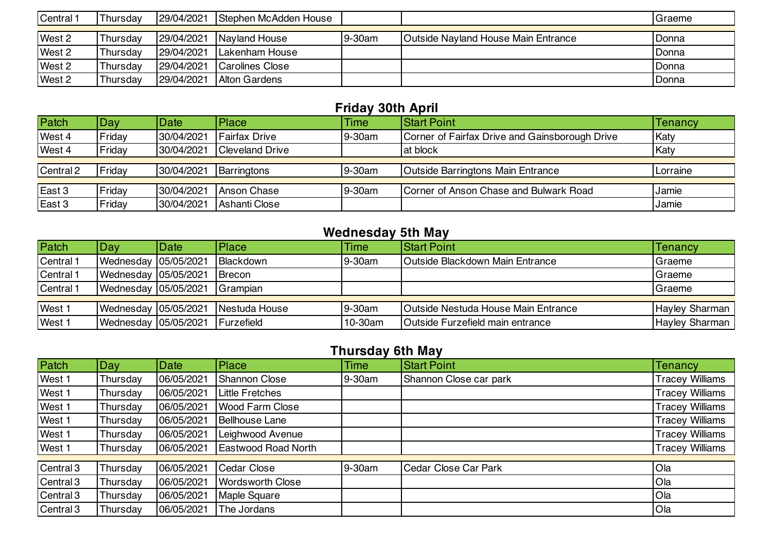| Central 1 | Thursday | 29/04/2021 | Stephen McAdden House   |        |                                            | Graeme |
|-----------|----------|------------|-------------------------|--------|--------------------------------------------|--------|
|           |          |            |                         |        |                                            |        |
| West 2    | Thursday | 29/04/2021 | Nayland House           | 9-30am | <b>Outside Nayland House Main Entrance</b> | Donna  |
| West 2    | Thursday | 29/04/2021 | Lakenham House          |        |                                            | Donna  |
| West 2    | Thursday | 29/04/2021 | <b>ICarolines Close</b> |        |                                            | Donna  |
| West 2    | Thursday | 29/04/2021 | Alton Gardens           |        |                                            | Donna  |

# **Friday 30th April**

| Patch     | Day    | <b>Date</b> | <b>Place</b>           | <b>Time</b> | <b>Start Point</b>                             | Tenancy  |
|-----------|--------|-------------|------------------------|-------------|------------------------------------------------|----------|
| West 4    | Friday | 30/04/2021  | <b>Fairfax Drive</b>   | 9-30am      | Corner of Fairfax Drive and Gainsborough Drive | Katy     |
| West 4    | Friday | 30/04/2021  | <b>Cleveland Drive</b> |             | at block                                       | Katy     |
|           |        |             |                        |             |                                                |          |
| Central 2 | Fridav | 30/04/2021  | Barringtons            | 9-30am      | <b>Outside Barringtons Main Entrance</b>       | Lorraine |
|           |        |             |                        |             |                                                |          |
| East 3    | Friday | 30/04/2021  | Anson Chase            | 9-30am      | Corner of Anson Chase and Bulwark Road         | Jamie    |
| East 3    | Friday | 30/04/2021  | Ashanti Close          |             |                                                | Jamie    |

# **Wednesday 5th May**

| Patch     | Dav                    | Date | <b>Place</b>      | <b>Time</b> | <b>Start Point</b>                         | <b>Tenancy</b>        |
|-----------|------------------------|------|-------------------|-------------|--------------------------------------------|-----------------------|
| Central 1 | Wednesday 05/05/2021   |      | Blackdown         | 9-30am      | <b>Outside Blackdown Main Entrance</b>     | Graeme                |
| Central 1 | Wednesday   05/05/2021 |      | Brecon            |             |                                            | Graeme                |
| Central 1 | Wednesday 05/05/2021   |      | Grampian          |             |                                            | Graeme                |
|           |                        |      |                   |             |                                            |                       |
| West 1    | Wednesday 05/05/2021   |      | Nestuda House     | 9-30am      | <b>Outside Nestuda House Main Entrance</b> | <b>Hayley Sharman</b> |
| West 1    | Wednesday 05/05/2021   |      | <b>Furzefield</b> | 10-30am     | Outside Furzefield main entrance           | Hayley Sharman        |

# **Thursday 6th May**

| Patch     | Day      | <b>Date</b> | Place                   | <b>Time</b> | <b>Start Point</b>     | <b>Tenancy</b>         |
|-----------|----------|-------------|-------------------------|-------------|------------------------|------------------------|
| West 1    | Thursday | 06/05/2021  | <b>Shannon Close</b>    | 9-30am      | Shannon Close car park | <b>Tracey Williams</b> |
| West 1    | Thursday | 06/05/2021  | <b>Little Fretches</b>  |             |                        | <b>Tracey Williams</b> |
| West 1    | Thursday | 06/05/2021  | <b>Wood Farm Close</b>  |             |                        | <b>Tracey Williams</b> |
| West 1    | Thursday | 06/05/2021  | <b>Bellhouse Lane</b>   |             |                        | <b>Tracey Williams</b> |
| West 1    | Thursday | 06/05/2021  | Leighwood Avenue        |             |                        | <b>Tracey Williams</b> |
| West 1    | Thursday | 06/05/2021  | Eastwood Road North     |             |                        | <b>Tracey Williams</b> |
|           |          |             |                         |             |                        |                        |
| Central 3 | Thursday | 06/05/2021  | Cedar Close             | 9-30am      | Cedar Close Car Park   | Ola                    |
| Central 3 | Thursday | 06/05/2021  | <b>Wordsworth Close</b> |             |                        | Ola                    |
| Central 3 | Thursday | 06/05/2021  | Maple Square            |             |                        | Ola                    |
| Central 3 | Thursday | 06/05/2021  | The Jordans             |             |                        | Ola                    |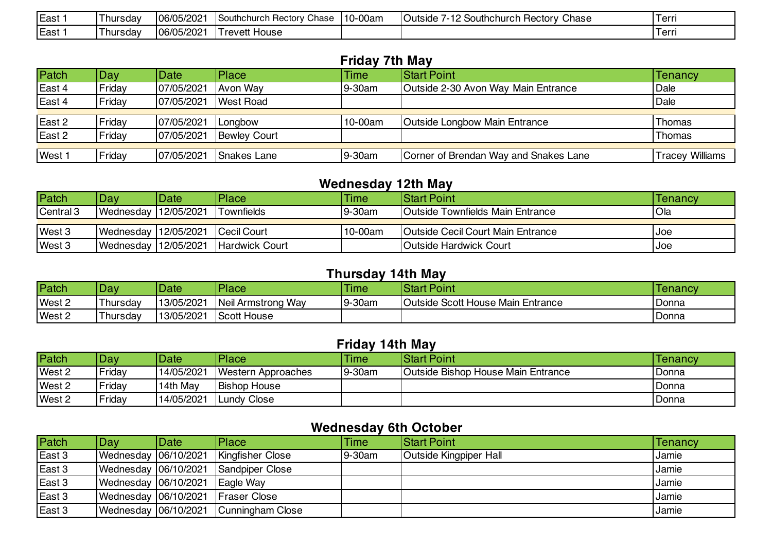| East | l hursdav | 06/05/2021 | Southchurch<br>Chase<br>າ Hectorv ( | 10-00am | ⌒<br>Chase<br>$\sqrt{2}$<br>Southch<br>Outside<br>Rectorv<br>าurch | Ferri  |
|------|-----------|------------|-------------------------------------|---------|--------------------------------------------------------------------|--------|
| East | l hursdav | 06/05/2021 | . .<br>' revett House               |         |                                                                    | l erri |

#### **Friday 7th May**

| Patch  | Day.   | Date       | Place               | <b>Time</b> | <b>Start Point</b>                    | <b>Tenancy</b>  |
|--------|--------|------------|---------------------|-------------|---------------------------------------|-----------------|
| East 4 | Friday | 07/05/2021 | Avon Way            | 9-30am      | Outside 2-30 Avon Way Main Entrance   | Dale            |
| East 4 | Friday | 07/05/2021 | West Road           |             |                                       | Dale            |
|        |        |            |                     |             |                                       |                 |
| East 2 | Fridav | 07/05/2021 | Longbow             | 10-00am     | <b>Outside Longbow Main Entrance</b>  | Thomas          |
| East 2 | Friday | 07/05/2021 | <b>Bewley Court</b> |             |                                       | Thomas          |
|        |        |            |                     |             |                                       |                 |
| West 1 | Friday | 07/05/2021 | Snakes Lane         | 9-30am      | Corner of Brendan Way and Snakes Lane | Tracey Williams |

## **Wednesday 12th May**

| Patch     | Dav.                   | Date | <b>Place</b>          | <b>Time</b> | <b>IStart Point</b>                      | Tenancy |
|-----------|------------------------|------|-----------------------|-------------|------------------------------------------|---------|
| Central 3 | Wednesday   12/05/2021 |      | Townfields            | $19-30$ am  | <b>Outside Townfields Main Entrance</b>  | Ola     |
|           |                        |      |                       |             |                                          |         |
| West 3    | Wednesday 12/05/2021   |      | Cecil Court           | 10-00am     | <b>Outside Cecil Court Main Entrance</b> | IJoe    |
| West 3    | Wednesday 12/05/2021   |      | <b>Hardwick Court</b> |             | <b>IOutside Hardwick Court</b>           | IJoe    |

### **Thursday 14th May**

| Patch  | Dav      | Date       | <b>Place</b>        | Time   | <b>Start Point</b>                | <b>Tenancy</b> |
|--------|----------|------------|---------------------|--------|-----------------------------------|----------------|
| West 2 | Thursday | 13/05/2021 | Neil Armstrong Way  | 9-30am | Outside Scott House Main Entrance | Donna          |
| West 2 | Thursdav | 13/05/2021 | <b>IScott House</b> |        |                                   | Donna          |

# **Friday 14th May**

| Patch  | Dav    | Date       | Place               | <b>Time</b> | <b>Start Point</b>                        | Tenancy |
|--------|--------|------------|---------------------|-------------|-------------------------------------------|---------|
| West 2 | Friday | 14/05/2021 | Western Approaches  | $9-30am$    | <b>Outside Bishop House Main Entrance</b> | Donna   |
| West 2 | Friday | 14th Mav   | <b>Bishop House</b> |             |                                           | Donna   |
| West 2 | Friday | 14/05/2021 | <b>Lundy Close</b>  |             |                                           | Donna   |

## **Wednesday 6th October**

| Patch             | Dav                  | Date | <b>Place</b>                          | <b>Time</b> | <b>Start Point</b>     | Tenancy |
|-------------------|----------------------|------|---------------------------------------|-------------|------------------------|---------|
| East 3            | Wednesday 06/10/2021 |      | Kingfisher Close                      | 9-30am      | Outside Kingpiper Hall | Jamie   |
| East 3            | Wednesday 06/10/2021 |      | Sandpiper Close                       |             |                        | Jamie   |
| East 3            | Wednesday 06/10/2021 |      | Eagle Way                             |             |                        | Jamie   |
| $\textsf{East} 3$ | Wednesday 06/10/2021 |      | <b>Fraser Close</b>                   |             |                        | Jamie   |
| East 3            |                      |      | Wednesday 06/10/2021 Cunningham Close |             |                        | Jamie   |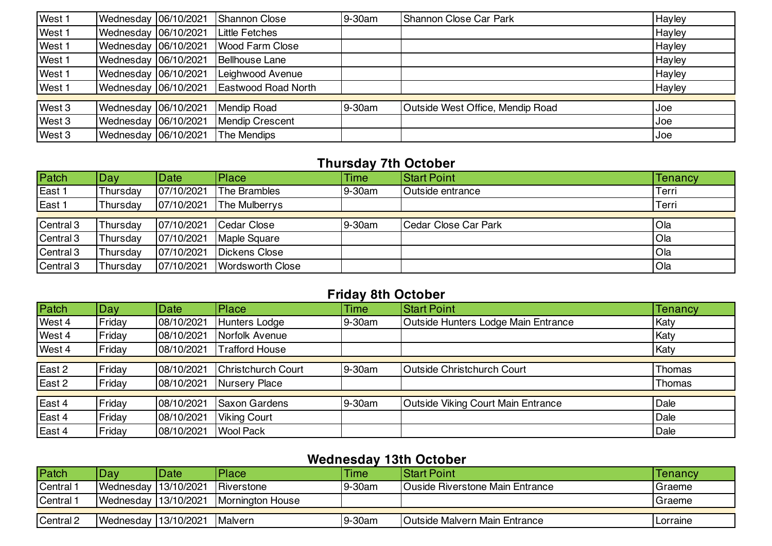| West 1 | Wednesday 06/10/2021   | Shannon Close              | 9-30am | Shannon Close Car Park           | Hayley |
|--------|------------------------|----------------------------|--------|----------------------------------|--------|
| West 1 | Wednesday   06/10/2021 | Little Fetches             |        |                                  | Hayley |
| West 1 | Wednesday 06/10/2021   | <b>Wood Farm Close</b>     |        |                                  | Hayley |
| West 1 | Wednesday 06/10/2021   | <b>Bellhouse Lane</b>      |        |                                  | Hayley |
| West 1 | Wednesday 06/10/2021   | Leighwood Avenue           |        |                                  | Hayley |
| West 1 | Wednesday 06/10/2021   | <b>Eastwood Road North</b> |        |                                  | Hayley |
|        |                        |                            |        |                                  |        |
| West 3 | Wednesday 06/10/2021   | <b>Mendip Road</b>         | 9-30am | Outside West Office, Mendip Road | Joe    |
| West 3 | Wednesday 06/10/2021   | <b>Mendip Crescent</b>     |        |                                  | Joe    |
| West 3 | Wednesday 06/10/2021   | The Mendips                |        |                                  | IJoe   |

#### **Thursday 7th October**

| Patch     | Day      | Date       | Place                | <b>Time</b> | <b>Start Point</b>    | Tenancy     |
|-----------|----------|------------|----------------------|-------------|-----------------------|-------------|
| East 1    | Thursdav | 07/10/2021 | The Brambles         | 9-30am      | Outside entrance      | Terri       |
| East 1    | Thursdav | 07/10/2021 | <b>The Mulberrys</b> |             |                       | Terri       |
|           |          |            |                      |             |                       |             |
| Central 3 | Thursday | 07/10/2021 | Cedar Close          | 9-30am      | lCedar Close Car Park | <b>Ola</b>  |
| Central 3 | Thursday | 07/10/2021 | <b>Maple Square</b>  |             |                       | <b>O</b> la |
| Central 3 | Thursdav | 07/10/2021 | Dickens Close        |             |                       | <b>O</b> la |
| Central 3 | Thursday | 07/10/2021 | Wordsworth Close     |             |                       | Ola         |

#### **Friday 8th October**

| Patch  | Day    | Date       | <b>Place</b>              | <b>Time</b> | <b>Start Point</b>                        | Tenancy |
|--------|--------|------------|---------------------------|-------------|-------------------------------------------|---------|
| West 4 | Friday | 08/10/2021 | Hunters Lodge             | 9-30am      | Outside Hunters Lodge Main Entrance       | Katy    |
| West 4 | Friday | 08/10/2021 | Norfolk Avenue            |             |                                           | Katy    |
| West 4 | Friday | 08/10/2021 | <b>Trafford House</b>     |             |                                           | Katy    |
|        |        |            |                           |             |                                           |         |
| East 2 | Friday | 08/10/2021 | <b>Christchurch Court</b> | 9-30am      | <b>Outside Christchurch Court</b>         | Thomas  |
| East 2 | Friday | 08/10/2021 | Nursery Place             |             |                                           | Thomas  |
|        |        |            |                           |             |                                           |         |
| East 4 | Friday | 08/10/2021 | <b>Saxon Gardens</b>      | 9-30am      | <b>Outside Viking Court Main Entrance</b> | Dale    |
| East 4 | Friday | 08/10/2021 | <b>Viking Court</b>       |             |                                           | Dale    |
| East 4 | Friday | 08/10/2021 | <b>Wool Pack</b>          |             |                                           | Dale    |

## **Wednesday 13th October**

| Patch                | Day.                   | <b>Date</b> | Place            | Time   | <b>IStart Point</b>                    | Tenancy  |
|----------------------|------------------------|-------------|------------------|--------|----------------------------------------|----------|
| Central <sup>-</sup> | Wednesday 13/10/2021   |             | Riverstone       | 9-30am | <b>Ouside Riverstone Main Entrance</b> | Graeme   |
| Central <sup>-</sup> | Wednesday 13/10/2021   |             | Mornington House |        |                                        | IGraeme  |
|                      |                        |             |                  |        |                                        |          |
| Central 2            | Wednesday   13/10/2021 |             | Malvern          | 9-30am | <b>Outside Malvern Main Entrance</b>   | Lorraine |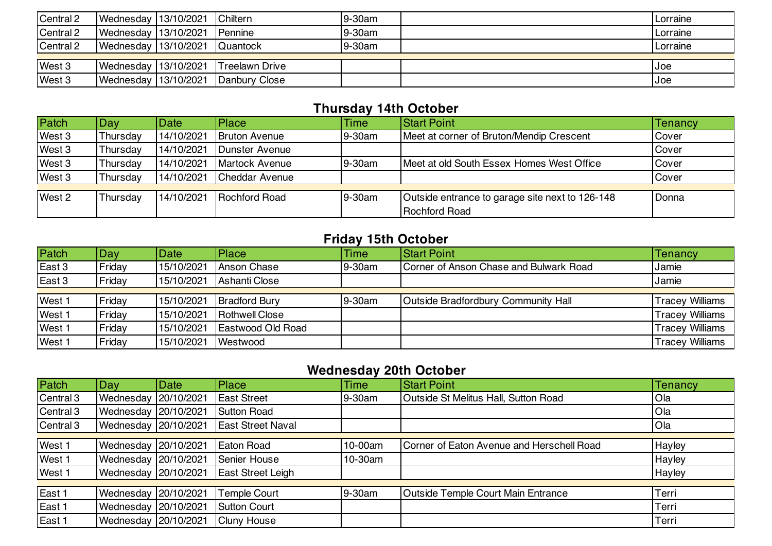| Central 2 | Wednesday 13/10/2021 Chiltern |                                        | 9-30am | Lorraine |
|-----------|-------------------------------|----------------------------------------|--------|----------|
| Central 2 | Wednesday 13/10/2021 Pennine  |                                        | 9-30am | Lorraine |
| Central 2 | Wednesday 13/10/2021 Quantock |                                        | 9-30am | Lorraine |
|           |                               |                                        |        |          |
| West 3    |                               | Wednesday 13/10/2021 Treelawn Drive    |        | Joe      |
| West 3    |                               | Wednesday   13/10/2021   Danbury Close |        | Joe      |

### **Thursday 14th October**

| Patch  | Day      | Date       | Place                 | <b>Time</b> | <b>Start Point</b>                              | <b>Tenancy</b> |
|--------|----------|------------|-----------------------|-------------|-------------------------------------------------|----------------|
| West 3 | Thursday | 14/10/2021 | <b>Bruton Avenue</b>  | 9-30am      | Meet at corner of Bruton/Mendip Crescent        | Cover          |
| West 3 | Thursday | 14/10/2021 | Dunster Avenue        |             |                                                 | Cover          |
| West 3 | Thursday | 14/10/2021 | <b>Martock Avenue</b> | 9-30am      | Meet at old South Essex Homes West Office       | Cover          |
| West 3 | Thursday | 14/10/2021 | <b>Cheddar Avenue</b> |             |                                                 | Cover          |
|        |          |            |                       |             |                                                 |                |
| West 2 | Thursday | 14/10/2021 | <b>Rochford Road</b>  | 9-30am      | Outside entrance to garage site next to 126-148 | Donna          |
|        |          |            |                       |             | <b>Rochford Road</b>                            |                |

# **Friday 15th October**

| Patch  | Day    | Date       | Place                | <b>Time</b> | <b>Start Point</b>                     | <b>Tenancy</b>         |
|--------|--------|------------|----------------------|-------------|----------------------------------------|------------------------|
| East 3 | Friday | 15/10/2021 | Anson Chase          | 9-30am      | Corner of Anson Chase and Bulwark Road | Jamie                  |
| East 3 | Friday | 15/10/2021 | Ashanti Close        |             |                                        | Jamie                  |
|        |        |            |                      |             |                                        |                        |
| West 1 | Friday | 15/10/2021 | <b>Bradford Bury</b> | 9-30am      | Outside Bradfordbury Community Hall    | <b>Tracey Williams</b> |
| West 1 | Friday | 15/10/2021 | Rothwell Close       |             |                                        | <b>Tracey Williams</b> |
| West 1 | Friday | 15/10/2021 | Eastwood Old Road    |             |                                        | <b>Tracey Williams</b> |
| West 1 | Friday | 15/10/2021 | Westwood             |             |                                        | <b>Tracey Williams</b> |

# **Wednesday 20th October**

| Patch     | Day                  | Date | Place                    | <b>Time</b> | <b>Start Point</b>                        | <b>Tenancy</b> |
|-----------|----------------------|------|--------------------------|-------------|-------------------------------------------|----------------|
| Central 3 | Wednesday 20/10/2021 |      | <b>East Street</b>       | 9-30am      | Outside St Melitus Hall, Sutton Road      | Ola            |
| Central 3 | Wednesday 20/10/2021 |      | <b>Sutton Road</b>       |             |                                           | Ola            |
| Central 3 | Wednesday 20/10/2021 |      | <b>East Street Naval</b> |             |                                           | Ola            |
|           |                      |      |                          |             |                                           |                |
| West 1    | Wednesday 20/10/2021 |      | Eaton Road               | 10-00am     | Corner of Eaton Avenue and Herschell Road | Hayley         |
| West 1    | Wednesday 20/10/2021 |      | Senier House             | 10-30am     |                                           | Hayley         |
| West 1    | Wednesday 20/10/2021 |      | East Street Leigh        |             |                                           | Hayley         |
|           |                      |      |                          |             |                                           |                |
| East 1    | Wednesday 20/10/2021 |      | <b>Temple Court</b>      | 9-30am      | Outside Temple Court Main Entrance        | Terri          |
| East 1    | Wednesday 20/10/2021 |      | <b>Sutton Court</b>      |             |                                           | Terri          |
| East 1    | Wednesday 20/10/2021 |      | <b>Cluny House</b>       |             |                                           | Terri          |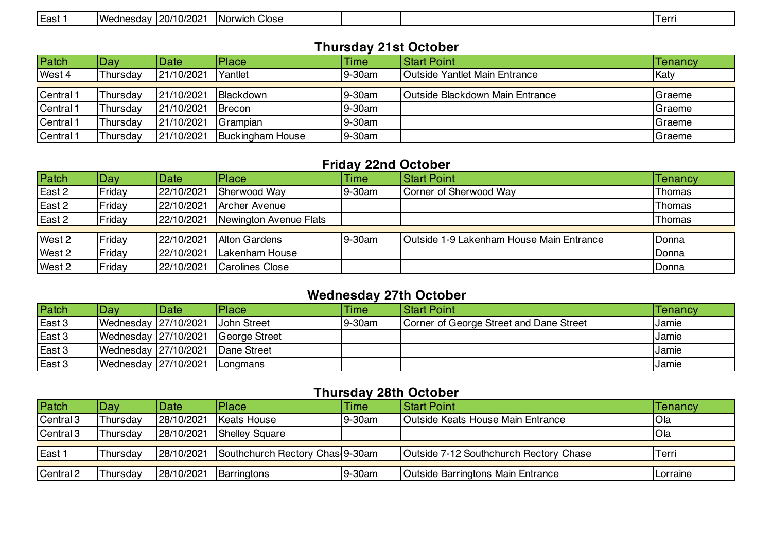| -<br>10/2021<br>Wednesday<br>$\sim$ $\sim$ $\sim$<br>East<br>Close<br>$I$ orr<br><b>Norwich</b><br>. . <del>.</del> |
|---------------------------------------------------------------------------------------------------------------------|
|---------------------------------------------------------------------------------------------------------------------|

#### **Thursday 21st October**

| Patch     | Day      | Date       | Place                   | <b>Time</b> | <b>Start Point</b>                     | Tenancv |
|-----------|----------|------------|-------------------------|-------------|----------------------------------------|---------|
| West 4    | Thursdav | 21/10/2021 | Yantlet                 | 9-30am      | <b>Outside Yantlet Main Entrance</b>   | Katy    |
|           |          |            |                         |             |                                        |         |
| Central 1 | Thursday | 21/10/2021 | Blackdown               | 9-30am      | <b>Outside Blackdown Main Entrance</b> | Graeme  |
| Central 1 | Thursday | 21/10/2021 | Brecon                  | 9-30am      |                                        | Graeme  |
| Central 1 | Thursday | 21/10/2021 | Grampian                | 9-30am      |                                        | Graeme  |
| Central 1 | Thursdav | 21/10/2021 | <b>Buckingham House</b> | 9-30am      |                                        | Graeme  |

#### **Friday 22nd October**

| Patch  | Day    | Date       | <b>Place</b>           | <b>Time</b> | <b>Start Point</b>                       | Tenancy |
|--------|--------|------------|------------------------|-------------|------------------------------------------|---------|
| East 2 | Friday | 22/10/2021 | Sherwood Way           | 9-30am      | Corner of Sherwood Way                   | Thomas  |
| East 2 | Friday | 22/10/2021 | Archer Avenue          |             |                                          | Thomas  |
| East 2 | Friday | 22/10/2021 | Newington Avenue Flats |             |                                          | Thomas  |
|        |        |            |                        |             |                                          |         |
| West 2 | Fridav | 22/10/2021 | <b>Alton Gardens</b>   | 9-30am      | Outside 1-9 Lakenham House Main Entrance | Donna   |
| West 2 | Friday | 22/10/2021 | Lakenham House         |             |                                          | Donna   |
| West 2 | Friday | 22/10/2021 | <b>Carolines Close</b> |             |                                          | Donna   |

#### **Wednesday 27th October**

| Patch  | Day                  | Date | Place                              | <b>Time</b> | <b>Start Point</b>                      | Tenancy |
|--------|----------------------|------|------------------------------------|-------------|-----------------------------------------|---------|
| East 3 | Wednesday 27/10/2021 |      | John Street                        | 9-30am      | Corner of George Street and Dane Street | Jamie   |
| East 3 |                      |      | Wednesday 27/10/2021 George Street |             |                                         | Jamie   |
| East 3 |                      |      | Wednesday 27/10/2021 Dane Street   |             |                                         | Jamie   |
| East 3 | Wednesday 27/10/2021 |      | <b>ILongmans</b>                   |             |                                         | Jamie   |

#### **Thursday 28th October**

| Patch     | Day.     | Date       | <b>Place</b>                    | Time   | <b>Start Point</b>                       | <b>Tenancy</b>    |
|-----------|----------|------------|---------------------------------|--------|------------------------------------------|-------------------|
| Central 3 | Thursdav | 28/10/2021 | Keats House                     | 9-30am | <b>Outside Keats House Main Entrance</b> | <b>Ola</b>        |
| Central 3 | Thursdav | 28/10/2021 | <b>Shelley Square</b>           |        |                                          | <b>Ola</b>        |
| East 1    | Thursdav | 28/10/2021 | Southchurch Rectory Chas 9-30am |        | Outside 7-12 Southchurch Rectory Chase   | Terri             |
|           |          |            |                                 |        |                                          |                   |
| Central 2 | Thursdav | 28/10/2021 | Barringtons                     | 9-30am | <b>Outside Barringtons Main Entrance</b> | <b>I</b> Lorraine |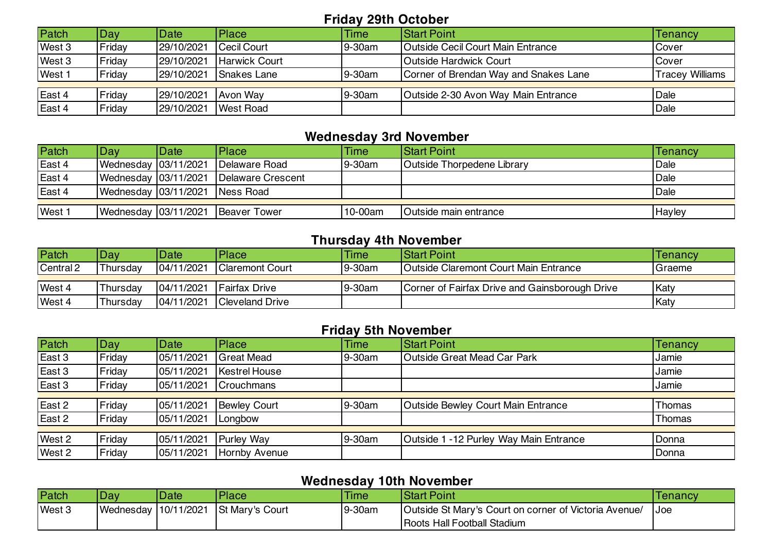#### **Friday 29th October**

| Patch  | Day    | Date       | Place                | Time   | <b>Start Point</b>                       | Tenancy                |
|--------|--------|------------|----------------------|--------|------------------------------------------|------------------------|
| West 3 | Friday | 29/10/2021 | Cecil Court          | 9-30am | <b>Outside Cecil Court Main Entrance</b> | Cover                  |
| West 3 | Friday | 29/10/2021 | <b>Harwick Court</b> |        | Outside Hardwick Court                   | Cover                  |
| West 1 | Friday | 29/10/2021 | Snakes Lane          | 9-30am | Corner of Brendan Way and Snakes Lane    | <b>Tracey Williams</b> |
|        |        |            |                      |        |                                          |                        |
| East 4 | Friday | 29/10/2021 | Avon Way             | 9-30am | Outside 2-30 Avon Way Main Entrance      | Dale                   |
| East 4 | Fridav | 29/10/2021 | <b>West Road</b>     |        |                                          | Dale                   |

## **Wednesday 3rd November**

| Patch  | Day:                           | Date | <b>IPlace</b>                          | <b>Time</b> | <b>IStart Point</b>               | <b>Tenancy</b> |
|--------|--------------------------------|------|----------------------------------------|-------------|-----------------------------------|----------------|
| East 4 |                                |      | Wednesday 03/11/2021 Delaware Road     | 9-30am      | <b>Outside Thorpedene Library</b> | Dale           |
| East 4 |                                |      | Wednesday 03/11/2021 Delaware Crescent |             |                                   | Dale           |
| East 4 | Wednesday 03/11/2021 Ness Road |      |                                        |             |                                   | Dale           |
|        |                                |      |                                        |             |                                   |                |
| West 1 |                                |      | Wednesday 03/11/2021 Beaver Tower      | 10-00am     | Outside main entrance             | Hayley         |

#### **Thursday 4th November**

| Patch     | Dav <sup>-</sup> | Date       | Place                  | Time   | <b>IStart Point</b>                            | Tenancy |
|-----------|------------------|------------|------------------------|--------|------------------------------------------------|---------|
| Central 2 | Thursdav         | 04/11/2021 | <b>Claremont Court</b> | 9-30am | <b>Outside Claremont Court Main Entrance</b>   | Graeme  |
|           |                  |            |                        |        |                                                |         |
| West 4    | Thursdav         | 04/11/2021 | <b>IFairfax Drive</b>  | 9-30am | Corner of Fairfax Drive and Gainsborough Drive | Katy    |
| West 4    | Thursdav         | 04/11/2021 | <b>Cleveland Drive</b> |        |                                                | Katy    |

### **Friday 5th November**

| Patch  | Day    | Date       | Place                | <b>Time</b> | <b>Start Point</b>                     | <b>Tenancy</b> |
|--------|--------|------------|----------------------|-------------|----------------------------------------|----------------|
| East 3 | Friday | 05/11/2021 | <b>Great Mead</b>    | 9-30am      | <b>Outside Great Mead Car Park</b>     | <b>Jamie</b>   |
| East 3 | Friday | 05/11/2021 | <b>Kestrel House</b> |             |                                        | Jamie          |
| East 3 | Friday | 05/11/2021 | <b>Crouchmans</b>    |             |                                        | Jamie          |
|        |        |            |                      |             |                                        |                |
| East 2 | Friday | 05/11/2021 | <b>Bewley Court</b>  | 9-30am      | Outside Bewley Court Main Entrance     | Thomas         |
| East 2 | Friday | 05/11/2021 | Longbow              |             |                                        | Thomas         |
|        |        |            |                      |             |                                        |                |
| West 2 | Friday | 05/11/2021 | <b>Purley Way</b>    | 9-30am      | Outside 1 -12 Purley Way Main Entrance | Donna          |
| West 2 | Friday | 05/11/2021 | Hornby Avenue        |             |                                        | Donna          |

#### **Wednesday 10th November**

| .<br>. |                      |      |                 |        |                                                      |            |  |
|--------|----------------------|------|-----------------|--------|------------------------------------------------------|------------|--|
| Patch  | Day                  | Date | 'Place          | Time   | <b>Start Point</b>                                   | Tenancy    |  |
| West 3 | Wednesday 10/11/2021 |      | St Mary's Court | 9-30am | Outside St Mary's Court on corner of Victoria Avenue | <b>Joe</b> |  |
|        |                      |      |                 |        | Roots Hall Football Stadium                          |            |  |